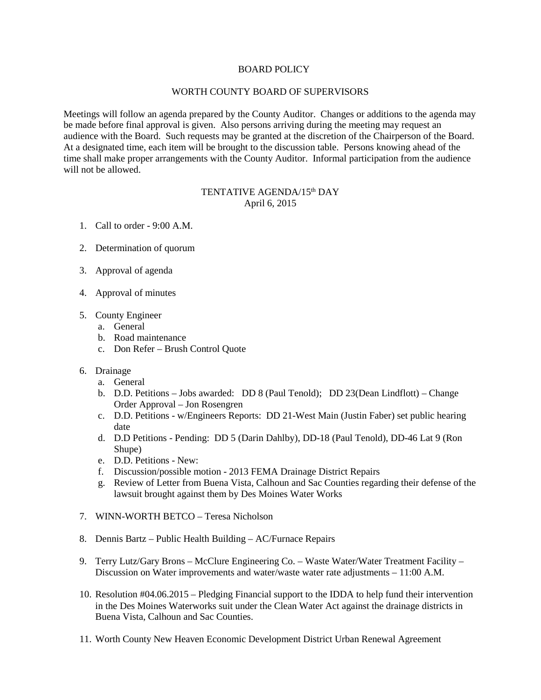## BOARD POLICY

## WORTH COUNTY BOARD OF SUPERVISORS

Meetings will follow an agenda prepared by the County Auditor. Changes or additions to the agenda may be made before final approval is given. Also persons arriving during the meeting may request an audience with the Board. Such requests may be granted at the discretion of the Chairperson of the Board. At a designated time, each item will be brought to the discussion table. Persons knowing ahead of the time shall make proper arrangements with the County Auditor. Informal participation from the audience will not be allowed.

## TENTATIVE AGENDA/15<sup>th</sup> DAY April 6, 2015

- 1. Call to order 9:00 A.M.
- 2. Determination of quorum
- 3. Approval of agenda
- 4. Approval of minutes
- 5. County Engineer
	- a. General
	- b. Road maintenance
	- c. Don Refer Brush Control Quote
- 6. Drainage
	- a. General
	- b. D.D. Petitions Jobs awarded: DD 8 (Paul Tenold); DD 23(Dean Lindflott) Change Order Approval – Jon Rosengren
	- c. D.D. Petitions w/Engineers Reports: DD 21-West Main (Justin Faber) set public hearing date
	- d. D.D Petitions Pending: DD 5 (Darin Dahlby), DD-18 (Paul Tenold), DD-46 Lat 9 (Ron Shupe)
	- e. D.D. Petitions New:
	- f. Discussion/possible motion 2013 FEMA Drainage District Repairs
	- g. Review of Letter from Buena Vista, Calhoun and Sac Counties regarding their defense of the lawsuit brought against them by Des Moines Water Works
- 7. WINN-WORTH BETCO Teresa Nicholson
- 8. Dennis Bartz Public Health Building AC/Furnace Repairs
- 9. Terry Lutz/Gary Brons McClure Engineering Co. Waste Water/Water Treatment Facility Discussion on Water improvements and water/waste water rate adjustments – 11:00 A.M.
- 10. Resolution #04.06.2015 Pledging Financial support to the IDDA to help fund their intervention in the Des Moines Waterworks suit under the Clean Water Act against the drainage districts in Buena Vista, Calhoun and Sac Counties.
- 11. Worth County New Heaven Economic Development District Urban Renewal Agreement